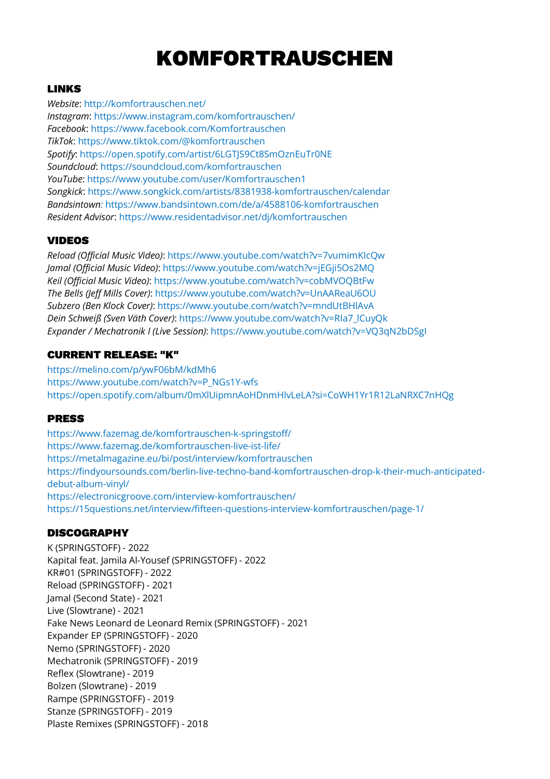# KOMFORTRAUSCHEN

## LINKS

*Website*: http://komfortrauschen.net/ *Instagram*: https://www.instagram.com/komfortrauschen/ *Facebook*: https://www.facebook.com/Komfortrauschen *TikTok*: https://www.tiktok.com/@komfortrauschen *Spotify*: https://open.spotify.com/artist/6LGTJS9Ct8SmOznEuTr0NE *Soundcloud*: https://soundcloud.com/komfortrauschen *YouTube*: https://www.youtube.com/user/Komfortrauschen1 *Songkick*: https://www.songkick.com/artists/8381938-komfortrauschen/calendar *Bandsintown:* https://www.bandsintown.com/de/a/4588106-komfortrauschen *Resident Advisor*: https://www.residentadvisor.net/dj/komfortrauschen

# VIDEOS

*Reload (Official Music Video)*: https://www.youtube.com/watch?v=7vumimKIcQw *Jamal (Official Music Video)*: https://www.youtube.com/watch?v=jEGji5Os2MQ *Keil (Official Music Video)*: https://www.youtube.com/watch?v=cobMVOQBtFw *The Bells (Jeff Mills Cover)*: https://www.youtube.com/watch?v=UnAAReaU6OU *Subzero (Ben Klock Cover)*: https://www.youtube.com/watch?v=mndUtBHlAvA *Dein Schweiß (Sven Väth Cover)*: https://www.youtube.com/watch?v=RIa7\_lCuyQk *Expander / Mechatronik I (Live Session)*: https://www.youtube.com/watch?v=VQ3qN2bDSgI

#### CURRENT RELEASE: "K"

https://melino.com/p/ywF06bM/kdMh6 https://www.youtube.com/watch?v=P\_NGs1Y-wfs https://open.spotify.com/album/0mXlUipmnAoHDnmHlvLeLA?si=CoWH1Yr1R12LaNRXC7nHQg

#### PRESS

https://www.fazemag.de/komfortrauschen-k-springstoff/ https://www.fazemag.de/komfortrauschen-live-ist-life/ https://metalmagazine.eu/bi/post/interview/komfortrauschen https://findyoursounds.com/berlin-live-techno-band-komfortrauschen-drop-k-their-much-anticipateddebut-album-vinyl/ https://electronicgroove.com/interview-komfortrauschen/ https://15questions.net/interview/fifteen-questions-interview-komfortrauschen/page-1/

#### DISCOGRAPHY

K (SPRINGSTOFF) - 2022 Kapital feat. Jamila Al-Yousef (SPRINGSTOFF) - 2022 KR#01 (SPRINGSTOFF) - 2022 Reload (SPRINGSTOFF) - 2021 Jamal (Second State) - 2021 Live (Slowtrane) - 2021 Fake News Leonard de Leonard Remix (SPRINGSTOFF) - 2021 Expander EP (SPRINGSTOFF) - 2020 Nemo (SPRINGSTOFF) - 2020 Mechatronik (SPRINGSTOFF) - 2019 Reflex (Slowtrane) - 2019 Bolzen (Slowtrane) - 2019 Rampe (SPRINGSTOFF) - 2019 Stanze (SPRINGSTOFF) - 2019 Plaste Remixes (SPRINGSTOFF) - 2018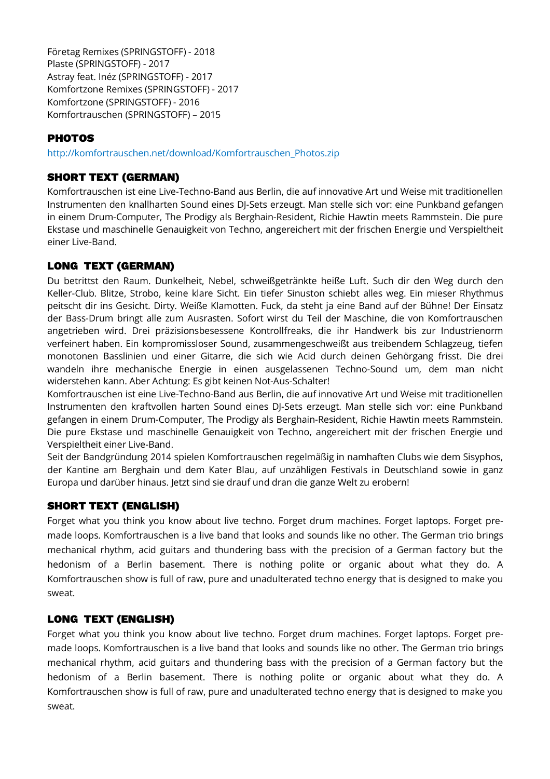Företag Remixes (SPRINGSTOFF) - 2018 Plaste (SPRINGSTOFF) - 2017 Astray feat. Inéz (SPRINGSTOFF) - 2017 Komfortzone Remixes (SPRINGSTOFF) - 2017 Komfortzone (SPRINGSTOFF) - 2016 Komfortrauschen (SPRINGSTOFF) – 2015

## **PHOTOS**

http://komfortrauschen.net/download/Komfortrauschen\_Photos.zip

#### SHORT TEXT (GERMAN)

Komfortrauschen ist eine Live-Techno-Band aus Berlin, die auf innovative Art und Weise mit traditionellen Instrumenten den knallharten Sound eines DJ-Sets erzeugt. Man stelle sich vor: eine Punkband gefangen in einem Drum-Computer, The Prodigy als Berghain-Resident, Richie Hawtin meets Rammstein. Die pure Ekstase und maschinelle Genauigkeit von Techno, angereichert mit der frischen Energie und Verspieltheit einer Live-Band.

#### LONG TEXT (GERMAN)

Du betrittst den Raum. Dunkelheit, Nebel, schweißgetränkte heiße Luft. Such dir den Weg durch den Keller-Club. Blitze, Strobo, keine klare Sicht. Ein tiefer Sinuston schiebt alles weg. Ein mieser Rhythmus peitscht dir ins Gesicht. Dirty. Weiße Klamotten. Fuck, da steht ja eine Band auf der Bühne! Der Einsatz der Bass-Drum bringt alle zum Ausrasten. Sofort wirst du Teil der Maschine, die von Komfortrauschen angetrieben wird. Drei präzisionsbesessene Kontrollfreaks, die ihr Handwerk bis zur Industrienorm verfeinert haben. Ein kompromissloser Sound, zusammengeschweißt aus treibendem Schlagzeug, tiefen monotonen Basslinien und einer Gitarre, die sich wie Acid durch deinen Gehörgang frisst. Die drei wandeln ihre mechanische Energie in einen ausgelassenen Techno-Sound um, dem man nicht widerstehen kann. Aber Achtung: Es gibt keinen Not-Aus-Schalter!

Komfortrauschen ist eine Live-Techno-Band aus Berlin, die auf innovative Art und Weise mit traditionellen Instrumenten den kraftvollen harten Sound eines DJ-Sets erzeugt. Man stelle sich vor: eine Punkband gefangen in einem Drum-Computer, The Prodigy als Berghain-Resident, Richie Hawtin meets Rammstein. Die pure Ekstase und maschinelle Genauigkeit von Techno, angereichert mit der frischen Energie und Verspieltheit einer Live-Band.

Seit der Bandgründung 2014 spielen Komfortrauschen regelmäßig in namhaften Clubs wie dem Sisyphos, der Kantine am Berghain und dem Kater Blau, auf unzähligen Festivals in Deutschland sowie in ganz Europa und darüber hinaus. Jetzt sind sie drauf und dran die ganze Welt zu erobern!

#### SHORT TEXT (ENGLISH)

Forget what you think you know about live techno. Forget drum machines. Forget laptops. Forget premade loops. Komfortrauschen is a live band that looks and sounds like no other. The German trio brings mechanical rhythm, acid guitars and thundering bass with the precision of a German factory but the hedonism of a Berlin basement. There is nothing polite or organic about what they do. A Komfortrauschen show is full of raw, pure and unadulterated techno energy that is designed to make you sweat.

#### LONG TEXT (ENGLISH)

Forget what you think you know about live techno. Forget drum machines. Forget laptops. Forget premade loops. Komfortrauschen is a live band that looks and sounds like no other. The German trio brings mechanical rhythm, acid guitars and thundering bass with the precision of a German factory but the hedonism of a Berlin basement. There is nothing polite or organic about what they do. A Komfortrauschen show is full of raw, pure and unadulterated techno energy that is designed to make you sweat.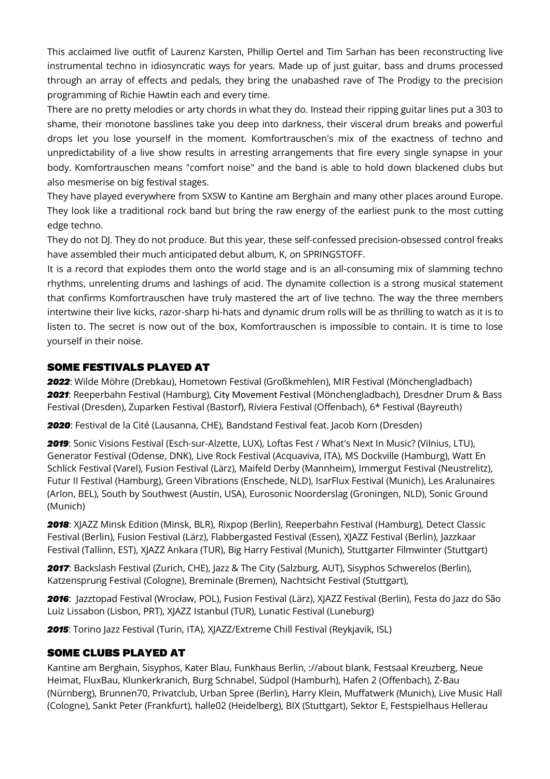This acclaimed live outfit of Laurenz Karsten, Phillip Oertel and Tim Sarhan has been reconstructing live instrumental techno in idiosyncratic ways for years. Made up of just guitar, bass and drums processed through an array of effects and pedals, they bring the unabashed rave of The Prodigy to the precision programming of Richie Hawtin each and every time.

There are no pretty melodies or arty chords in what they do. Instead their ripping guitar lines put a 303 to shame, their monotone basslines take you deep into darkness, their visceral drum breaks and powerful drops let you lose yourself in the moment. Komfortrauschen's mix of the exactness of techno and unpredictability of a live show results in arresting arrangements that fire every single synapse in your body. Komfortrauschen means "comfort noise" and the band is able to hold down blackened clubs but also mesmerise on big festival stages.

They have played everywhere from SXSW to Kantine am Berghain and many other places around Europe. They look like a traditional rock band but bring the raw energy of the earliest punk to the most cutting edge techno.

They do not DJ. They do not produce. But this year, these self-confessed precision-obsessed control freaks have assembled their much anticipated debut album, K, on SPRINGSTOFF.

It is a record that explodes them onto the world stage and is an all-consuming mix of slamming techno rhythms, unrelenting drums and lashings of acid. The dynamite collection is a strong musical statement that confirms Komfortrauschen have truly mastered the art of live techno. The way the three members intertwine their live kicks, razor-sharp hi-hats and dynamic drum rolls will be as thrilling to watch as it is to listen to. The secret is now out of the box, Komfortrauschen is impossible to contain. It is time to lose yourself in their noise.

## SOME FESTIVALS PLAYED AT

*2022*: Wilde Möhre (Drebkau), Hometown Festival (Großkmehlen), MIR Festival (Mönchengladbach) *2021*: Reeperbahn Festival (Hamburg), City Movement Festival (Mönchengladbach), Dresdner Drum & Bass Festival (Dresden), Zuparken Festival (Bastorf), Riviera Festival (Offenbach), 6\* Festival (Bayreuth)

*2020*: Festival de la Cité (Lausanna, CHE), Bandstand Festival feat. Jacob Korn (Dresden)

*2019*: Sonic Visions Festival (Esch-sur-Alzette, LUX), Loftas Fest / What's Next In Music? (Vilnius, LTU), Generator Festival (Odense, DNK), Live Rock Festival (Acquaviva, ITA), MS Dockville (Hamburg), Watt En Schlick Festival (Varel), Fusion Festival (Lärz), Maifeld Derby (Mannheim), Immergut Festival (Neustrelitz), Futur II Festival (Hamburg), Green Vibrations (Enschede, NLD), IsarFlux Festival (Munich), Les Aralunaires (Arlon, BEL), South by Southwest (Austin, USA), Eurosonic Noorderslag (Groningen, NLD), Sonic Ground (Munich)

*2018*: XJAZZ Minsk Edition (Minsk, BLR), Rixpop (Berlin), Reeperbahn Festival (Hamburg), Detect Classic Festival (Berlin), Fusion Festival (Lärz), Flabbergasted Festival (Essen), XJAZZ Festival (Berlin), Jazzkaar Festival (Tallinn, EST), XJAZZ Ankara (TUR), Big Harry Festival (Munich), Stuttgarter Filmwinter (Stuttgart)

*2017*: Backslash Festival (Zurich, CHE), Jazz & The City (Salzburg, AUT), Sisyphos Schwerelos (Berlin), Katzensprung Festival (Cologne), Breminale (Bremen), Nachtsicht Festival (Stuttgart),

*2016*: Jazztopad Festival (Wrocław, POL), Fusion Festival (Lärz), XJAZZ Festival (Berlin), Festa do Jazz do São Luiz Lissabon (Lisbon, PRT), XJAZZ Istanbul (TUR), Lunatic Festival (Luneburg)

*2015*: Torino Jazz Festival (Turin, ITA), XJAZZ/Extreme Chill Festival (Reykjavik, ISL)

# SOME CLUBS PLAYED AT

Kantine am Berghain, Sisyphos, Kater Blau, Funkhaus Berlin, ://about blank, Festsaal Kreuzberg, Neue Heimat, FluxBau, Klunkerkranich, Burg Schnabel, Südpol (Hamburh), Hafen 2 (Offenbach), Z-Bau (Nürnberg), Brunnen70, Privatclub, Urban Spree (Berlin), Harry Klein, Muffatwerk (Munich), Live Music Hall (Cologne), Sankt Peter (Frankfurt), halle02 (Heidelberg), BIX (Stuttgart), Sektor E, Festspielhaus Hellerau